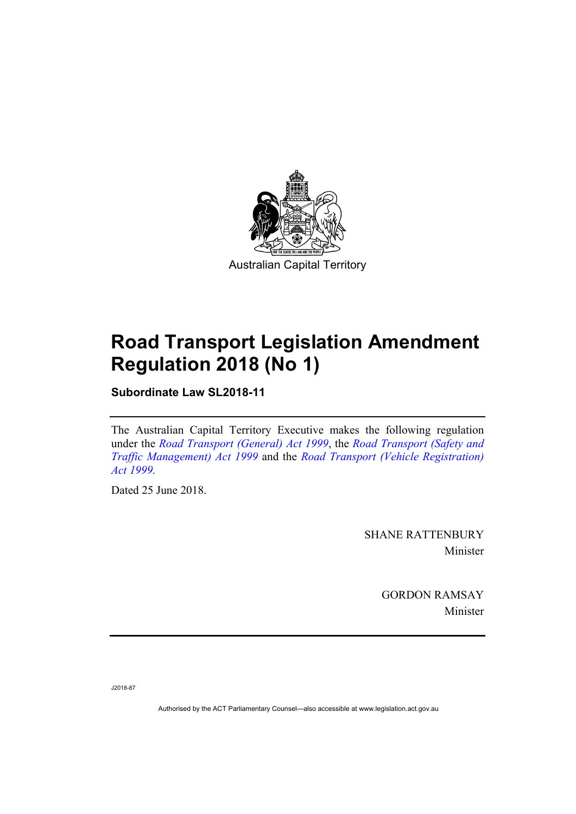

# **Road Transport Legislation Amendment Regulation 2018 (No 1)**

**Subordinate Law SL2018-11** 

The Australian Capital Territory Executive makes the following regulation under the *[Road Transport \(General\) Act 1999](http://www.legislation.act.gov.au/a/1999-77)*, the *[Road Transport \(Safety and](http://www.legislation.act.gov.au/a/1999-80)  [Traffic Management\) Act 1999](http://www.legislation.act.gov.au/a/1999-80)* and the *[Road Transport \(Vehicle Registration\)](http://www.legislation.act.gov.au/a/1999-81)  [Act 1999](http://www.legislation.act.gov.au/a/1999-81).* 

Dated 25 June 2018.

SHANE RATTENBURY Minister

> GORDON RAMSAY Minister

J2018-87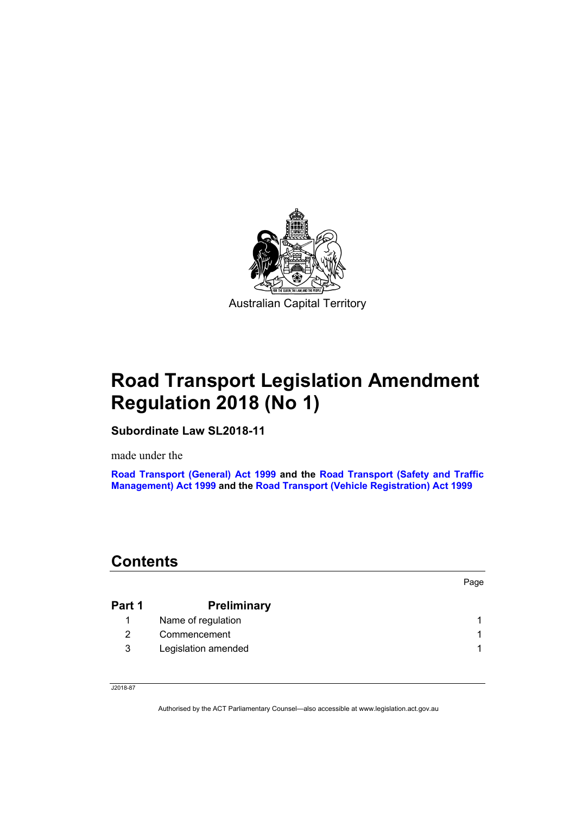

# **Road Transport Legislation Amendment Regulation 2018 (No 1)**

**Subordinate Law SL2018-11** 

made under the

**[Road Transport \(General\) Act 1999](http://www.legislation.act.gov.au/a/1999-77) and the [Road Transport \(Safety and Traffic](http://www.legislation.act.gov.au/a/1999-80)  [Management\) Act 1999](http://www.legislation.act.gov.au/a/1999-80) and the [Road Transport \(Vehicle Registration\) Act 1999](http://www.legislation.act.gov.au/a/1999-81)**

# **Contents**

| Part 1 | <b>Preliminary</b>  |  |
|--------|---------------------|--|
|        | Name of regulation  |  |
|        | Commencement        |  |
| 3      | Legislation amended |  |

Page

J2018-87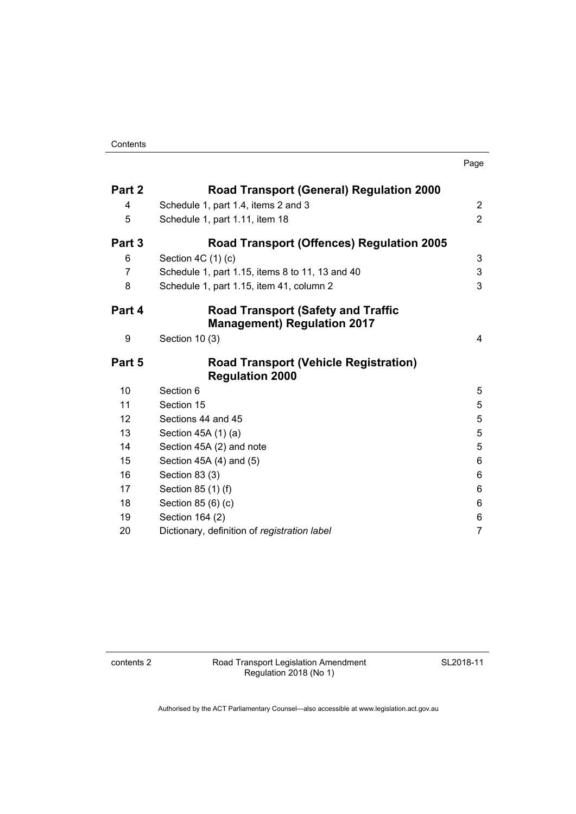| Part 2            | <b>Road Transport (General) Regulation 2000</b>                        |                |
|-------------------|------------------------------------------------------------------------|----------------|
| 4                 | Schedule 1, part 1.4, items 2 and 3                                    | $\overline{2}$ |
| 5                 | Schedule 1, part 1.11, item 18                                         | $\overline{2}$ |
| Part 3            | <b>Road Transport (Offences) Regulation 2005</b>                       |                |
| 6                 | Section $4C(1)(c)$                                                     | 3              |
| 7                 | Schedule 1, part 1.15, items 8 to 11, 13 and 40                        | $\mathsf 3$    |
| 8                 | Schedule 1, part 1.15, item 41, column 2                               | 3              |
| Part 4            | <b>Road Transport (Safety and Traffic</b>                              |                |
|                   | <b>Management) Regulation 2017</b>                                     |                |
| 9                 | Section 10 (3)                                                         | 4              |
| Part 5            | <b>Road Transport (Vehicle Registration)</b><br><b>Regulation 2000</b> |                |
| 10                | Section 6                                                              | 5              |
| 11                | Section 15                                                             | 5              |
| $12 \overline{ }$ | Sections 44 and 45                                                     | 5              |
| 13                | Section 45A (1) (a)                                                    | 5              |
| 14                | Section 45A (2) and note                                               | 5              |
| 15                | Section 45A (4) and (5)                                                | 6              |
| 16                | Section 83 (3)                                                         | 6              |
| 17                | Section 85 (1) (f)                                                     | 6              |
| 18                | Section 85 (6) (c)                                                     | 6              |
| 19                | Section 164 (2)                                                        | 6              |
| 20                | Dictionary, definition of registration label                           | $\overline{7}$ |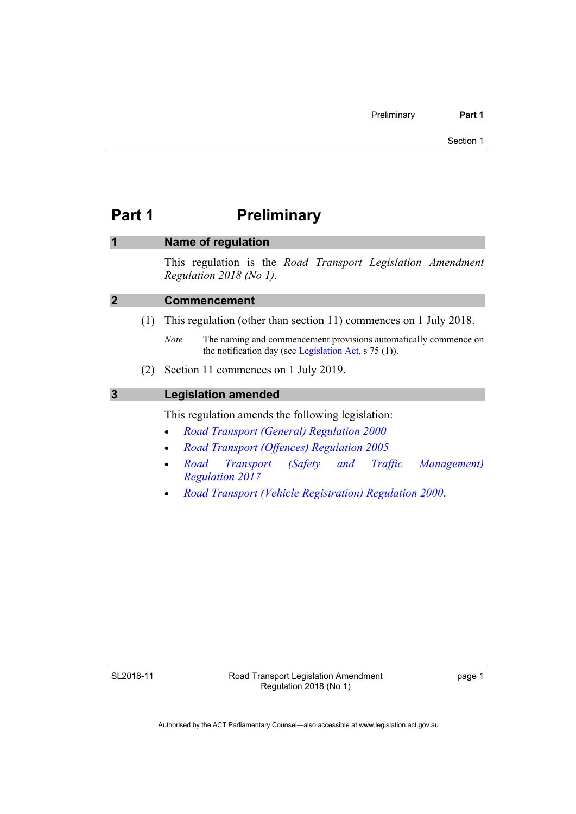# <span id="page-4-0"></span>**Part 1** Preliminary

### <span id="page-4-1"></span>**1 Name of regulation**

This regulation is the *Road Transport Legislation Amendment Regulation 2018 (No 1)*.

<span id="page-4-2"></span>

| $\overline{2}$ | <b>Commencement</b> |
|----------------|---------------------|
|                |                     |

- (1) This regulation (other than section 11) commences on 1 July 2018.
	- *Note* The naming and commencement provisions automatically commence on the notification day (see [Legislation Act,](http://www.legislation.act.gov.au/a/2001-14) s 75 (1)).
- (2) Section 11 commences on 1 July 2019.

#### <span id="page-4-3"></span>**3 Legislation amended**

This regulation amends the following legislation:

- *[Road Transport \(General\) Regulation 2000](http://www.legislation.act.gov.au/sl/2000-13)*
- *[Road Transport \(Offences\) Regulation 2005](http://www.legislation.act.gov.au/sl/2005-11)*
- *[Road Transport \(Safety and Traffic Management\)](http://www.legislation.act.gov.au/sl/2017-45/default.asp)  [Regulation 2017](http://www.legislation.act.gov.au/sl/2017-45/default.asp)*
- *[Road Transport \(Vehicle Registration\) Regulation 2000](http://www.legislation.act.gov.au/sl/2000-12)*.

SL2018-11

page 1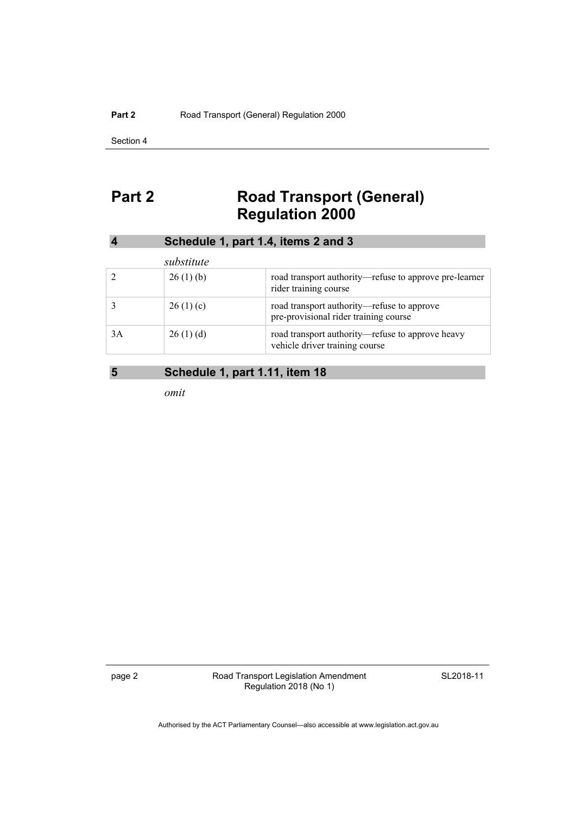Section 4

# <span id="page-5-0"></span>Part 2 **Road Transport (General) Regulation 2000**

<span id="page-5-1"></span>

|    |            | Schedule 1, part 1.4, items 2 and 3                                                 |
|----|------------|-------------------------------------------------------------------------------------|
|    | substitute |                                                                                     |
|    | 26(1)(b)   | road transport authority—refuse to approve pre-learner<br>rider training course     |
|    | 26(1)(c)   | road transport authority—refuse to approve<br>pre-provisional rider training course |
| 3A | 26(1)(d)   | road transport authority—refuse to approve heavy<br>vehicle driver training course  |

### <span id="page-5-2"></span>**5 Schedule 1, part 1.11, item 18**

*omit* 

page 2 **Road Transport Legislation Amendment** Regulation 2018 (No 1)

SL2018-11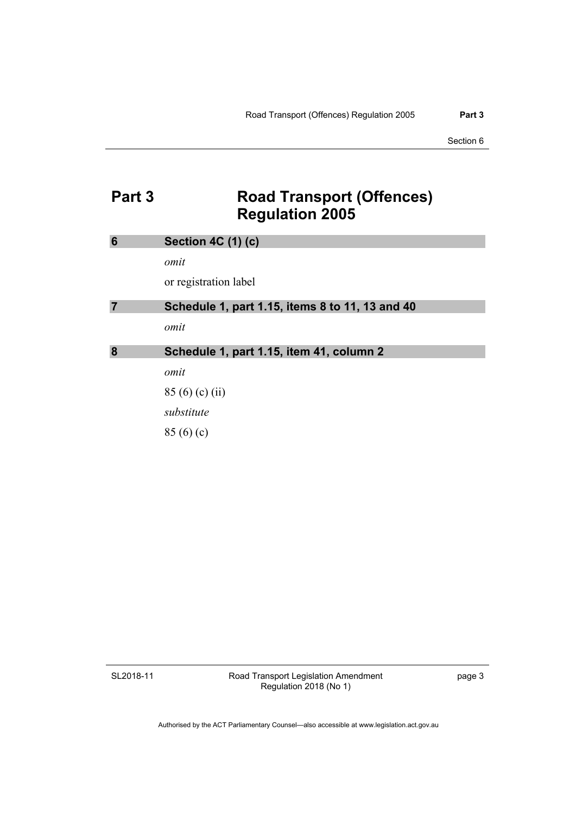### <span id="page-6-0"></span>**Part 3 Road Transport (Offences) Regulation 2005**

<span id="page-6-3"></span><span id="page-6-2"></span><span id="page-6-1"></span>

| 6              | <b>Section 4C (1) (c)</b>                       |
|----------------|-------------------------------------------------|
|                | omit                                            |
|                | or registration label                           |
| $\overline{7}$ | Schedule 1, part 1.15, items 8 to 11, 13 and 40 |
|                | omit                                            |
|                |                                                 |
| 8              | Schedule 1, part 1.15, item 41, column 2        |
|                | omit                                            |
|                | 85(6)(c)(ii)                                    |
|                | substitute                                      |

SL2018-11

Road Transport Legislation Amendment Regulation 2018 (No 1)

page 3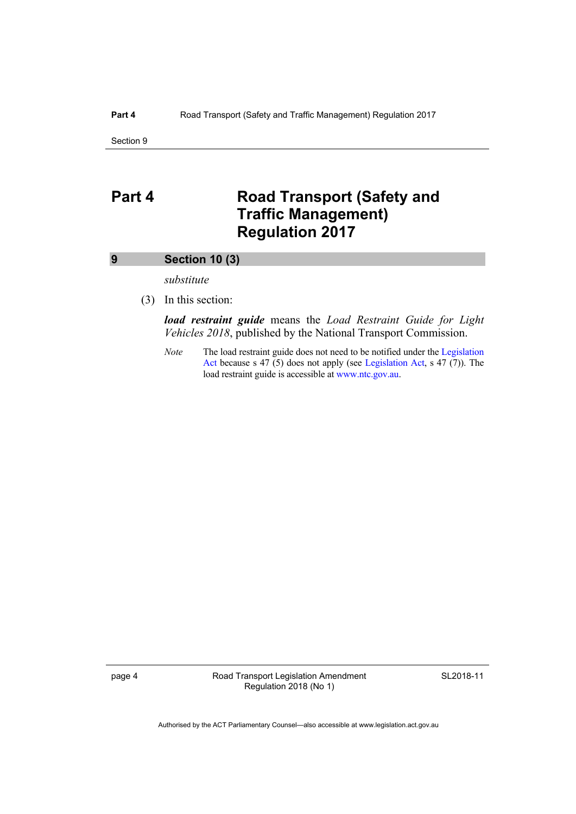Section 9

### <span id="page-7-0"></span>**Part 4** Road Transport (Safety and **Traffic Management) Regulation 2017**

#### <span id="page-7-1"></span>**9 Section 10 (3)**

*substitute* 

(3) In this section:

*load restraint guide* means the *Load Restraint Guide for Light Vehicles 2018*, published by the National Transport Commission.

*Note* The load restraint guide does not need to be notified under the Legislation [Act](http://www.legislation.act.gov.au/a/2001-14) because s 47 (5) does not apply (see [Legislation Act,](http://www.legislation.act.gov.au/a/2001-14) s 47 (7)). The load restraint guide is accessible at [www.ntc.gov.au](http://www.ntc.gov.au/).

page 4 Road Transport Legislation Amendment Regulation 2018 (No 1)

SL2018-11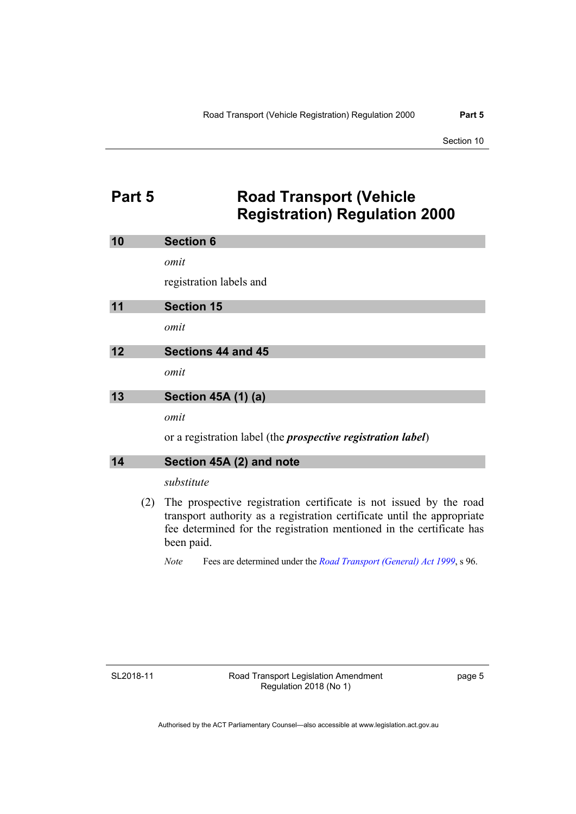### <span id="page-8-0"></span>**Part 5 Road Transport (Vehicle Registration) Regulation 2000**

<span id="page-8-4"></span><span id="page-8-3"></span><span id="page-8-2"></span><span id="page-8-1"></span>

| 10 |     | <b>Section 6</b>                                                                                                                                                                                                      |
|----|-----|-----------------------------------------------------------------------------------------------------------------------------------------------------------------------------------------------------------------------|
|    |     | omit                                                                                                                                                                                                                  |
|    |     | registration labels and                                                                                                                                                                                               |
| 11 |     | <b>Section 15</b>                                                                                                                                                                                                     |
|    |     | omit                                                                                                                                                                                                                  |
| 12 |     | Sections 44 and 45                                                                                                                                                                                                    |
|    |     | omit                                                                                                                                                                                                                  |
| 13 |     | <b>Section 45A (1) (a)</b>                                                                                                                                                                                            |
|    |     | omit                                                                                                                                                                                                                  |
|    |     | or a registration label (the <i>prospective registration label</i> )                                                                                                                                                  |
| 14 |     | Section 45A (2) and note                                                                                                                                                                                              |
|    |     | substitute                                                                                                                                                                                                            |
|    | (2) | The prospective registration certificate is not issued by the road<br>transport authority as a registration certificate until the appropriate<br>fee determined for the registration mentioned in the certificate has |

*Note* Fees are determined under the *[Road Transport \(General\) Act 1999](http://www.legislation.act.gov.au/a/1999-77)*, s 96.

SL2018-11

<span id="page-8-5"></span>been paid.

page 5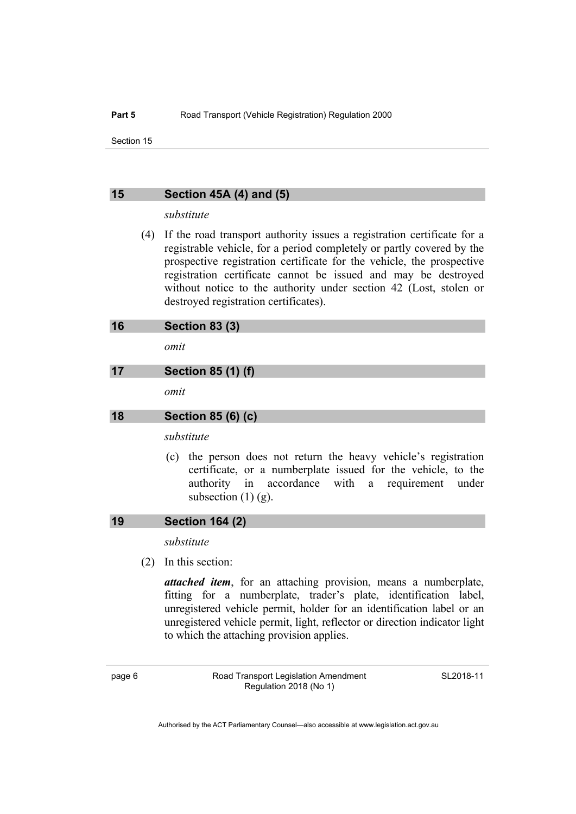Section 15

#### <span id="page-9-0"></span>**15 Section 45A (4) and (5)**

#### *substitute*

 (4) If the road transport authority issues a registration certificate for a registrable vehicle, for a period completely or partly covered by the prospective registration certificate for the vehicle, the prospective registration certificate cannot be issued and may be destroyed without notice to the authority under section 42 (Lost, stolen or destroyed registration certificates).

<span id="page-9-1"></span>

| 16 | <b>Section 83 (3)</b> |  |
|----|-----------------------|--|
|----|-----------------------|--|

*omit* 

#### <span id="page-9-2"></span>**17 Section 85 (1) (f)**

*omit* 

#### <span id="page-9-3"></span>**18 Section 85 (6) (c)**

*substitute* 

 (c) the person does not return the heavy vehicle's registration certificate, or a numberplate issued for the vehicle, to the authority in accordance with a requirement under subsection  $(1)$   $(g)$ .

#### <span id="page-9-4"></span>**19 Section 164 (2)**

*substitute* 

(2) In this section:

*attached item*, for an attaching provision, means a numberplate, fitting for a numberplate, trader's plate, identification label, unregistered vehicle permit, holder for an identification label or an unregistered vehicle permit, light, reflector or direction indicator light to which the attaching provision applies.

page 6 Road Transport Legislation Amendment Regulation 2018 (No 1)

SL2018-11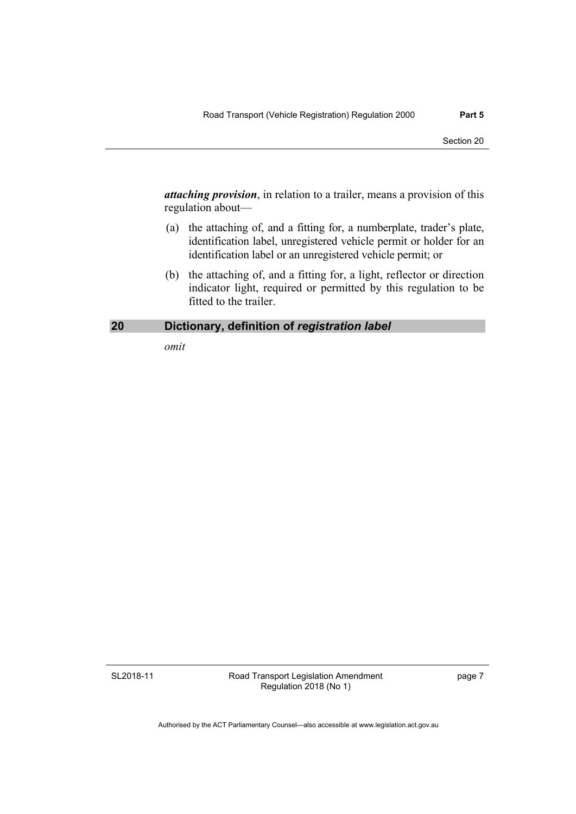*attaching provision*, in relation to a trailer, means a provision of this regulation about—

- (a) the attaching of, and a fitting for, a numberplate, trader's plate, identification label, unregistered vehicle permit or holder for an identification label or an unregistered vehicle permit; or
- (b) the attaching of, and a fitting for, a light, reflector or direction indicator light, required or permitted by this regulation to be fitted to the trailer.

#### <span id="page-10-0"></span>**20 Dictionary, definition of** *registration label*

*omit* 

SL2018-11

Road Transport Legislation Amendment Regulation 2018 (No 1)

page 7